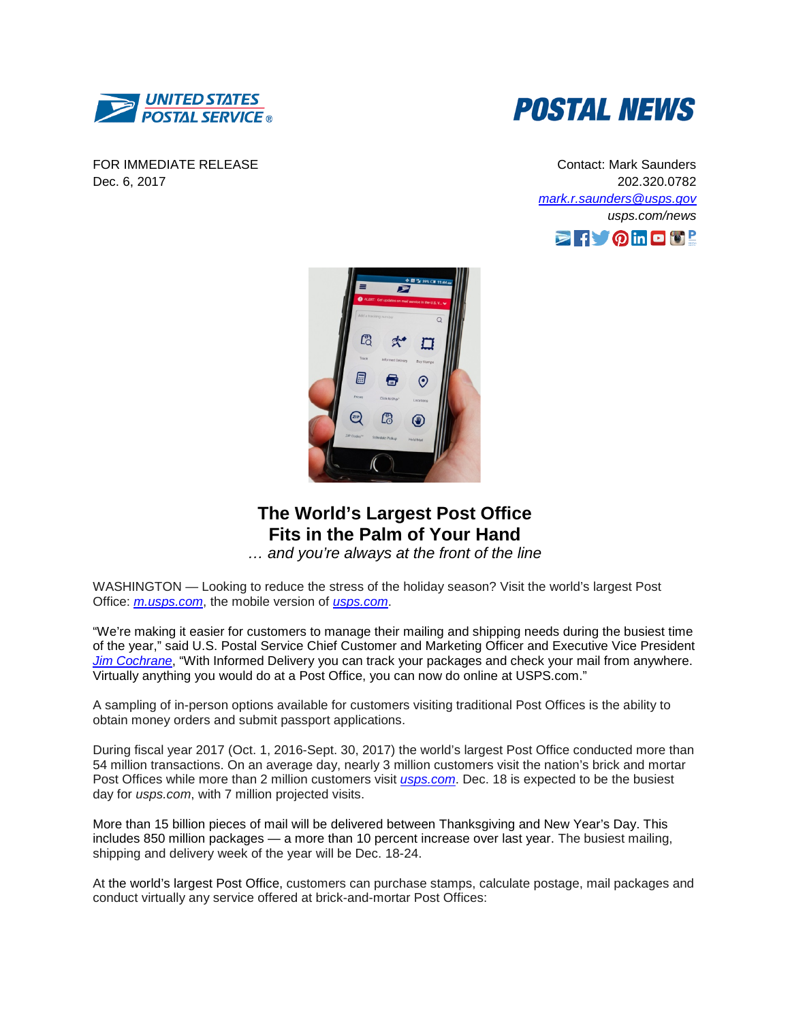

FOR IMMEDIATE RELEASE Dec. 6, 2017



Contact: Mark Saunders 202.320.0782 *[mark.r.saunders@usps.gov](mailto:mark.r.saunders@usps.gov) usps.com/news*





## **The World's Largest Post Office Fits in the Palm of Your Hand**

*… and you're always at the front of the line*

WASHINGTON — Looking to reduce the stress of the holiday season? Visit the world's largest Post Office: *[m.usps.com](https://m.usps.com/m/Home)*, the mobile version of *[usps.com](https://www.usps.com/)*.

"We're making it easier for customers to manage their mailing and shipping needs during the busiest time of the year," said U.S. Postal Service Chief Customer and Marketing Officer and Executive Vice President *[Jim Cochrane](http://about.usps.com/who-we-are/leadership/officers/ccmo-evp.htm)*, "With Informed Delivery you can track your packages and check your mail from anywhere. Virtually anything you would do at a Post Office, you can now do online at USPS.com."

A sampling of in-person options available for customers visiting traditional Post Offices is the ability to obtain money orders and submit passport applications.

During fiscal year 2017 (Oct. 1, 2016-Sept. 30, 2017) the world's largest Post Office conducted more than 54 million transactions. On an average day, nearly 3 million customers visit the nation's brick and mortar Post Offices while more than 2 million customers visit *[usps.com](https://www.usps.com/ship/welcome.htm)*. Dec. 18 is expected to be the busiest day for *usps.com*, with 7 million projected visits.

More than 15 billion pieces of mail will be delivered between Thanksgiving and New Year's Day. This includes 850 million packages — a more than 10 percent increase over last year. The busiest mailing, shipping and delivery week of the year will be Dec. 18-24.

At the world's largest Post Office, customers can purchase stamps, calculate postage, mail packages and conduct virtually any service offered at brick-and-mortar Post Offices: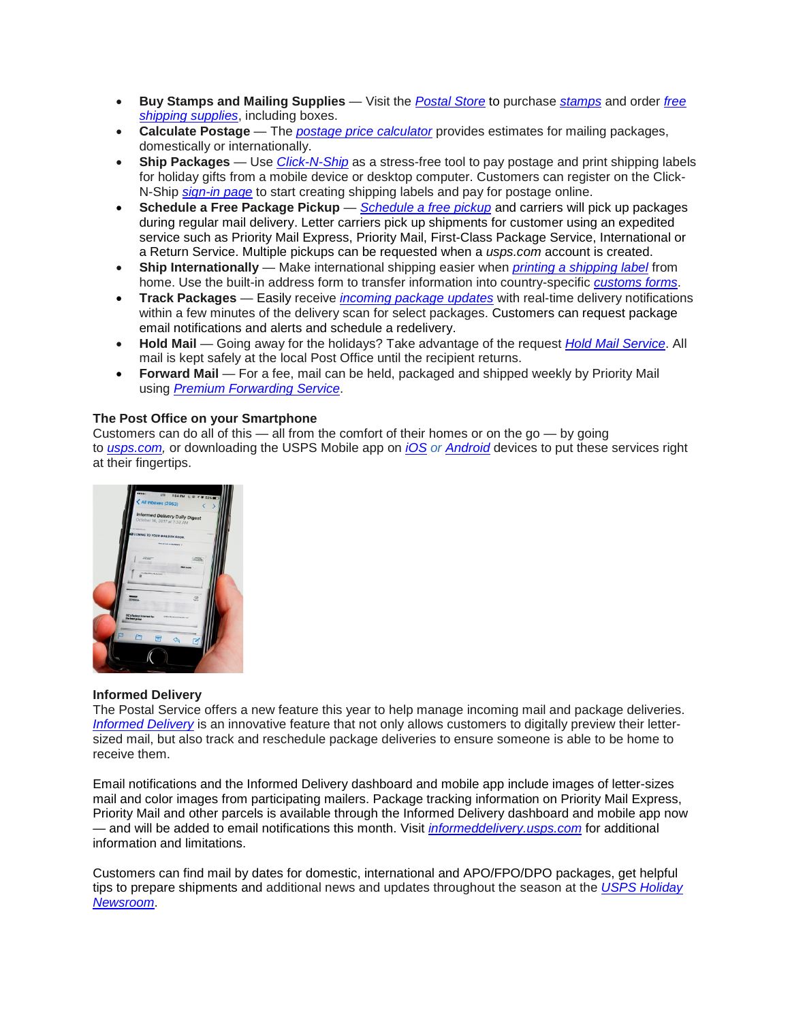- **Buy Stamps and Mailing Supplies** Visit the *[Postal Store](https://store.usps.com/store/home)* to purchase *[stamps](https://store.usps.com/store/results/stamps/_/N-9y93lv?_requestid=667384)* and order *[free](https://store.usps.com/store/results/free-shipping-supplies/shipping-supplies/_/N-alnx4jZ7d0v8v?_requestid=417593)  [shipping](https://store.usps.com/store/results/free-shipping-supplies/shipping-supplies/_/N-alnx4jZ7d0v8v?_requestid=417593) supplies*, including boxes.
- **Calculate Postage** The *[postage price calculator](https://postcalc.usps.com/)* provides estimates for mailing packages, domestically or internationally.
- **Ship Packages** Use *[Click-N-Ship](https://www.usps.com/ship/online-shipping.htm)* as a stress-free tool to pay postage and print shipping labels for holiday gifts from a mobile device or desktop computer. Customers can register on the Click-N-Ship *[sign-in page](https://reg.usps.com/entreg/LoginAction_input?app=GSS&appURL=https://cns.usps.com/labelInformation.shtml)* to start creating shipping labels and pay for postage online.
- **Schedule a Free Package Pickup** *[Schedule a free pickup](https://tools.usps.com/go/ScheduleAPickupAction!input.action)* and carriers will pick up packages during regular mail delivery. Letter carriers pick up shipments for customer using an expedited service such as Priority Mail Express, Priority Mail, First-Class Package Service, International or a Return Service. Multiple pickups can be requested when a *usps.com* account is created.
- **Ship Internationally** Make international shipping easier when *[printing a shipping label](https://www.usps.com/international/international-how-to.htm?)* from home. Use the built-in address form to transfer information into country-specific *[customs forms](https://www.usps.com/international/customs-forms.htm?)*.
- **Track Packages** Easily receive *[incoming package](https://tools.usps.com/go/TrackConfirmAction_input) updates* with real-time delivery notifications within a few minutes of the delivery scan for select packages. Customers can request package email notifications and alerts and schedule a redelivery.
- **Hold Mail** Going away for the holidays? Take advantage of the request *[Hold Mail Service](https://holdmail.usps.com/holdmail/)*. All mail is kept safely at the local Post Office until the recipient returns.
- **Forward Mail** For a fee, mail can be held, packaged and shipped weekly by Priority Mail using *[Premium Forwarding Service](https://www.usps.com/manage/forward.htm)*.

## **The Post Office on your Smartphone**

Customers can do all of this  $-$  all from the comfort of their homes or on the go  $-$  by going to *[usps.com,](https://www.usps.com/)* or downloading the USPS Mobile app on *[iOS](https://itunes.apple.com/us/app/usps-mobile/id339597578?mt=8) or [Android](https://play.google.com/store/apps/details?id=com.usps)* devices to put these services right at their fingertips.



## **Informed Delivery**

The Postal Service offers a new feature this year to help manage incoming mail and package deliveries. *[Informed Delivery](http://about.usps.com/news/national-releases/2017/pr17_075.htm)* is an innovative feature that not only allows customers to digitally preview their lettersized mail, but also track and reschedule package deliveries to ensure someone is able to be home to receive them.

Email notifications and the Informed Delivery dashboard and mobile app include images of letter-sizes mail and color images from participating mailers. Package tracking information on Priority Mail Express, Priority Mail and other parcels is available through the Informed Delivery dashboard and mobile app now — and will be added to email notifications this month. Visit *[informeddelivery.usps.com](https://informeddelivery.usps.com/box/pages/intro/start.action)* for additional information and limitations.

Customers can find mail by dates for domestic, international and APO/FPO/DPO packages, get helpful tips to prepare shipments and additional news and updates throughout the season at the *[USPS Holiday](http://about.usps.com/holidaynews/?utm_source=direct-vanity-url&utm_medium=vanityurl&utm_term=Direct%20vanity%20URL&utm_campaign=Holiday%20news%20vanity%20URL)  [Newsroom](http://about.usps.com/holidaynews/?utm_source=direct-vanity-url&utm_medium=vanityurl&utm_term=Direct%20vanity%20URL&utm_campaign=Holiday%20news%20vanity%20URL)*.